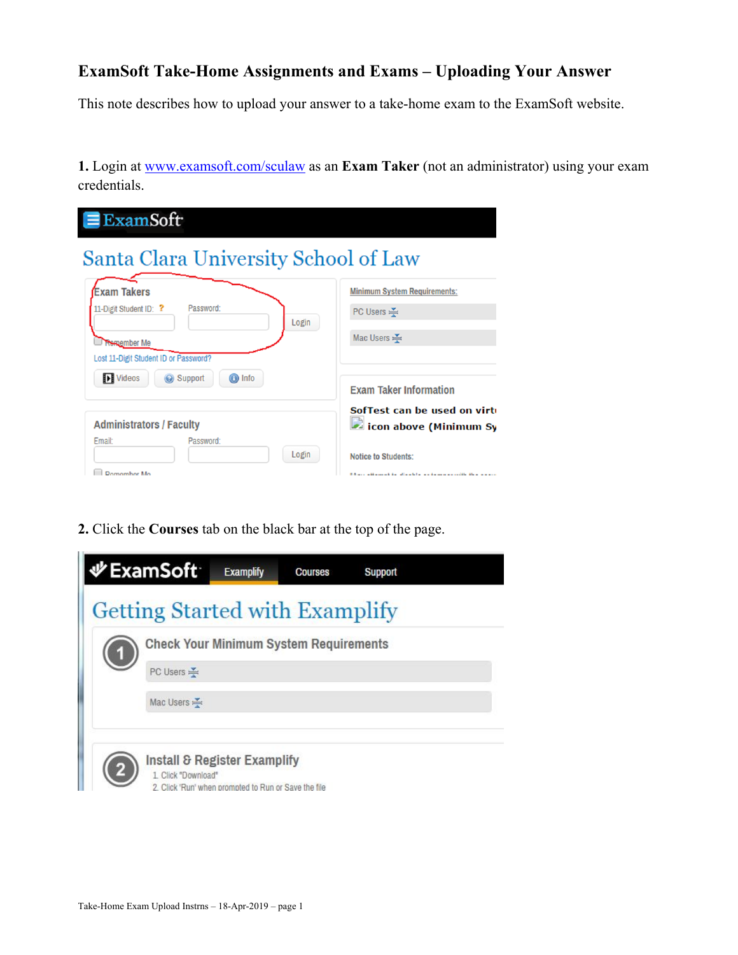## **ExamSoft Take-Home Assignments and Exams – Uploading Your Answer**

This note describes how to upload your answer to a take-home exam to the ExamSoft website.

**1.** Login at www.examsoft.com/sculaw as an **Exam Taker** (not an administrator) using your exam credentials.

| $\equiv$ ExamSoft                                             |                                                                                            |  |  |  |  |  |  |  |
|---------------------------------------------------------------|--------------------------------------------------------------------------------------------|--|--|--|--|--|--|--|
| Santa Clara University School of Law                          |                                                                                            |  |  |  |  |  |  |  |
| <b>Exam Takers</b><br>11-Digit Student ID: ?<br>Password:     | <b>Minimum System Requirements:</b><br>PC Users $\leq$                                     |  |  |  |  |  |  |  |
| Login<br>Remember Me<br>Lost 11-Digit Student ID or Password? | Mac Users $\leq$                                                                           |  |  |  |  |  |  |  |
| <b>ID</b> Videos<br>Support<br><b>O</b> Info                  | <b>Exam Taker Information</b>                                                              |  |  |  |  |  |  |  |
| <b>Administrators / Faculty</b><br>Email:<br>Password:        | SofTest can be used on virt<br>icon above (Minimum Sy                                      |  |  |  |  |  |  |  |
| Login<br>Domombor Mo                                          | <b>Notice to Students:</b><br><b>RADIO Allenged to discute a series as collected</b> and a |  |  |  |  |  |  |  |

**2.** Click the **Courses** tab on the black bar at the top of the page.

|    | <b> VExamSoft</b>                     | <b>Examplify</b>                                                                     | <b>Courses</b> | Support |  |
|----|---------------------------------------|--------------------------------------------------------------------------------------|----------------|---------|--|
|    | <b>Getting Started with Examplify</b> |                                                                                      |                |         |  |
| (1 |                                       | <b>Check Your Minimum System Requirements</b>                                        |                |         |  |
|    | PC Users                              |                                                                                      |                |         |  |
|    | Mac Users $\leq$                      |                                                                                      |                |         |  |
|    | 1. Click "Download"                   | Install & Register Examplify<br>2. Click 'Run' when prompted to Run or Save the file |                |         |  |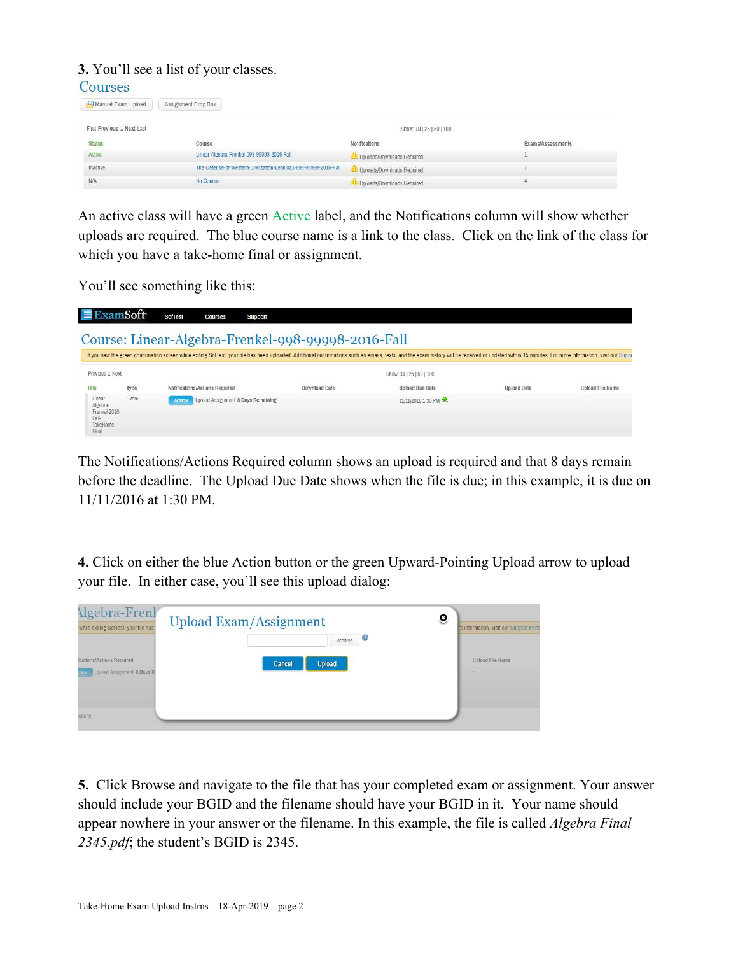**3.** You'll see a list of your classes.  $C<sub>OMP</sub> <sub>Q</sub>$ 

| Exams/Assessments |
|-------------------|
|                   |
|                   |
|                   |
|                   |

An active class will have a green Active label, and the Notifications column will show whether uploads are required. The blue course name is a link to the class. Click on the link of the class for which you have a take-home final or assignment.

You'll see something like this:

| $\equiv$ ExamSoft                                                   |      | <b>SofTest</b> | <b>Courses</b>                        | Support |               |                                                                                                                                                                                                                                |                    |                         |
|---------------------------------------------------------------------|------|----------------|---------------------------------------|---------|---------------|--------------------------------------------------------------------------------------------------------------------------------------------------------------------------------------------------------------------------------|--------------------|-------------------------|
| Course: Linear-Algebra-Frenkel-998-99998-2016-Fall                  |      |                |                                       |         |               |                                                                                                                                                                                                                                |                    |                         |
|                                                                     |      |                |                                       |         |               | If you saw the green confirmation screen while exiting SofTest, your file has been uploaded. Additional confirmations such as emails, texts, and the exam history will be received or updated within 15 minutes. For more info |                    |                         |
| Previous 1 Next                                                     |      |                |                                       |         |               | Show: 10   25   50   100                                                                                                                                                                                                       |                    |                         |
| Title                                                               | Type |                | <b>Notifications/Actions Required</b> |         | Download Date | <b>Upload Due Date</b>                                                                                                                                                                                                         | <b>Upload Date</b> | <b>Upload File Name</b> |
| Linear-<br>Algebra-<br>Frenkel-2016-<br>Fall-<br>TakeHome-<br>Final | Exam | <b>ACTION</b>  | Upload Assignment: 8 Days Remaining   |         |               | 11/11/2016 1:30 PM                                                                                                                                                                                                             |                    |                         |

The Notifications/Actions Required column shows an upload is required and that 8 days remain before the deadline. The Upload Due Date shows when the file is due; in this example, it is due on 11/11/2016 at 1:30 PM.

**4.** Click on either the blue Action button or the green Upward-Pointing Upload arrow to upload your file. In either case, you'll see this upload dialog:

| <b>Algebra-Frenk</b><br>while exiting SofTest, your file has   | Q<br><b>Upload Exam/Assignment</b><br>$_{\odot}$<br>Browse | re information, visit our Support Porta |
|----------------------------------------------------------------|------------------------------------------------------------|-----------------------------------------|
| ications/Actions Required<br>Upload Assignment 8 Days R<br>пон | <b>Upload</b><br>Cancel                                    | <b>Upload File Name</b>                 |
| esults                                                         |                                                            |                                         |

**5.** Click Browse and navigate to the file that has your completed exam or assignment. Your answer should include your BGID and the filename should have your BGID in it. Your name should appear nowhere in your answer or the filename. In this example, the file is called *Algebra Final 2345.pdf*; the student's BGID is 2345.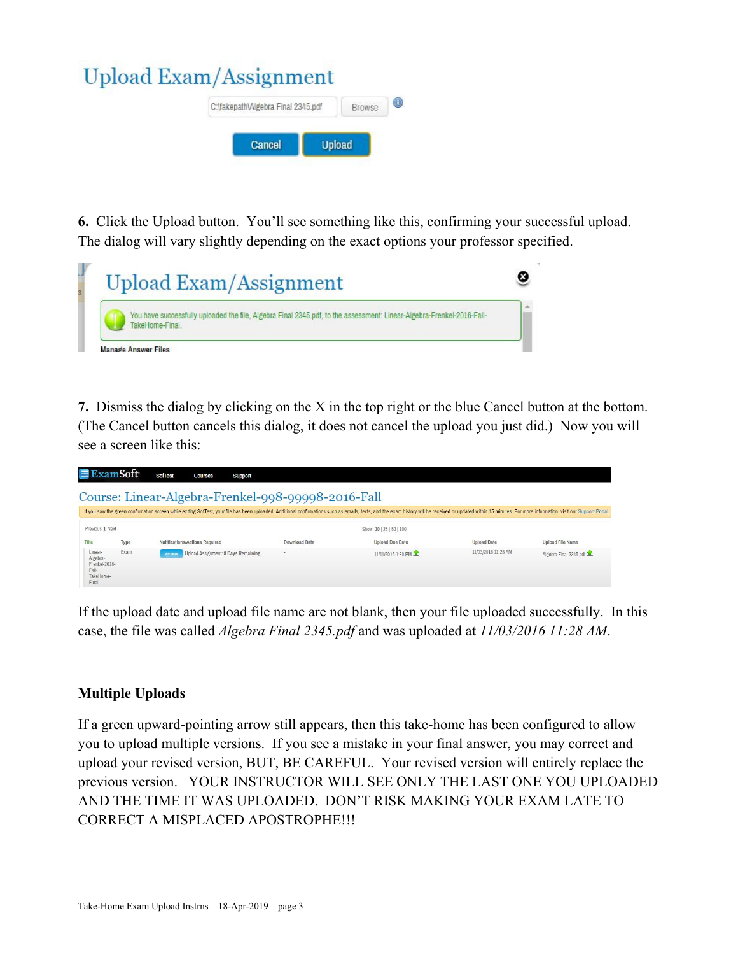## **Upload Exam/Assignment**



**6.** Click the Upload button. You'll see something like this, confirming your successful upload. The dialog will vary slightly depending on the exact options your professor specified.

| You have successfully uploaded the file, Algebra Final 2345.pdf, to the assessment: Linear-Algebra-Frenkel-2016-Fall- |
|-----------------------------------------------------------------------------------------------------------------------|
|                                                                                                                       |

**7.** Dismiss the dialog by clicking on the X in the top right or the blue Cancel button at the bottom. (The Cancel button cancels this dialog, it does not cancel the upload you just did.) Now you will see a screen like this:

| $\equiv$ ExamSoft                                                                                                                                                                                                              |      | <b>SofTest</b> | <b>Courses</b>                            | Support |                      |                          |                     |                         |
|--------------------------------------------------------------------------------------------------------------------------------------------------------------------------------------------------------------------------------|------|----------------|-------------------------------------------|---------|----------------------|--------------------------|---------------------|-------------------------|
| Course: Linear-Algebra-Frenkel-998-99998-2016-Fall                                                                                                                                                                             |      |                |                                           |         |                      |                          |                     |                         |
| If you saw the green confirmation screen while exiting SofTest, your file has been uploaded. Additional confirmations such as emails, texts, and the exam history will be received or updated within 15 minutes. For more info |      |                |                                           |         |                      |                          |                     |                         |
| Previous 1 Next                                                                                                                                                                                                                |      |                |                                           |         |                      | Show: 10   25   50   100 |                     |                         |
| Title                                                                                                                                                                                                                          | Type |                | <b>Notifications/Actions Required</b>     |         | <b>Download Date</b> | <b>Upload Due Date</b>   | <b>Upload Date</b>  | <b>Upload File Name</b> |
| Linear-<br>Algebra-<br>Frenkel-2016-<br>Fall-<br>TakeHome-<br>Final                                                                                                                                                            | Exam | <b>ACTION</b>  | <b>Upload Assignment 8 Days Remaining</b> |         |                      | 11/11/2016 1:30 PM       | 11/03/2016 11:28 AM | Algebra Final 2345.pdf  |

If the upload date and upload file name are not blank, then your file uploaded successfully. In this case, the file was called *Algebra Final 2345.pdf* and was uploaded at *11/03/2016 11:28 AM*.

## **Multiple Uploads**

If a green upward-pointing arrow still appears, then this take-home has been configured to allow you to upload multiple versions. If you see a mistake in your final answer, you may correct and upload your revised version, BUT, BE CAREFUL. Your revised version will entirely replace the previous version. YOUR INSTRUCTOR WILL SEE ONLY THE LAST ONE YOU UPLOADED AND THE TIME IT WAS UPLOADED. DON'T RISK MAKING YOUR EXAM LATE TO CORRECT A MISPLACED APOSTROPHE!!!